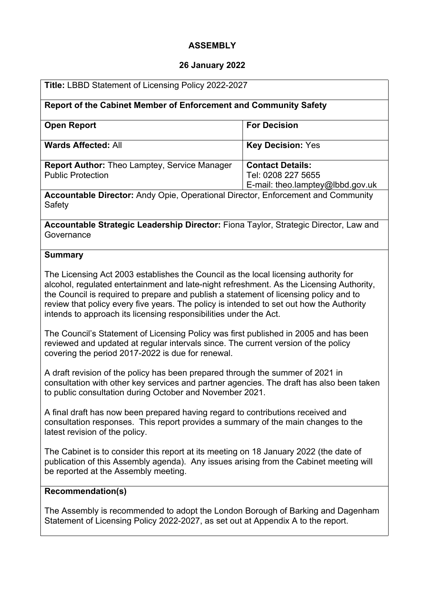# **ASSEMBLY**

# **26 January 2022**

| Title: LBBD Statement of Licensing Policy 2022-2027                                                                                                                                                                                                                                                                                                                                                                                       |                                                                                   |
|-------------------------------------------------------------------------------------------------------------------------------------------------------------------------------------------------------------------------------------------------------------------------------------------------------------------------------------------------------------------------------------------------------------------------------------------|-----------------------------------------------------------------------------------|
| Report of the Cabinet Member of Enforcement and Community Safety                                                                                                                                                                                                                                                                                                                                                                          |                                                                                   |
| <b>Open Report</b>                                                                                                                                                                                                                                                                                                                                                                                                                        | <b>For Decision</b>                                                               |
| <b>Wards Affected: All</b>                                                                                                                                                                                                                                                                                                                                                                                                                | <b>Key Decision: Yes</b>                                                          |
| <b>Report Author: Theo Lamptey, Service Manager</b><br><b>Public Protection</b>                                                                                                                                                                                                                                                                                                                                                           | <b>Contact Details:</b><br>Tel: 0208 227 5655<br>E-mail: theo.lamptey@lbbd.gov.uk |
| Accountable Director: Andy Opie, Operational Director, Enforcement and Community<br>Safety                                                                                                                                                                                                                                                                                                                                                |                                                                                   |
| Accountable Strategic Leadership Director: Fiona Taylor, Strategic Director, Law and<br>Governance                                                                                                                                                                                                                                                                                                                                        |                                                                                   |
| <b>Summary</b>                                                                                                                                                                                                                                                                                                                                                                                                                            |                                                                                   |
| The Licensing Act 2003 establishes the Council as the local licensing authority for<br>alcohol, regulated entertainment and late-night refreshment. As the Licensing Authority,<br>the Council is required to prepare and publish a statement of licensing policy and to<br>review that policy every five years. The policy is intended to set out how the Authority<br>intends to approach its licensing responsibilities under the Act. |                                                                                   |
| The Council's Statement of Licensing Policy was first published in 2005 and has been<br>reviewed and updated at regular intervals since. The current version of the policy<br>covering the period 2017-2022 is due for renewal.                                                                                                                                                                                                           |                                                                                   |
| A draft revision of the policy has been prepared through the summer of 2021 in<br>consultation with other key services and partner agencies. The draft has also been taken<br>to public consultation during October and November 2021.                                                                                                                                                                                                    |                                                                                   |
| A final draft has now been prepared having regard to contributions received and<br>consultation responses. This report provides a summary of the main changes to the<br>latest revision of the policy.                                                                                                                                                                                                                                    |                                                                                   |
| The Cabinet is to consider this report at its meeting on 18 January 2022 (the date of<br>publication of this Assembly agenda). Any issues arising from the Cabinet meeting will<br>be reported at the Assembly meeting.                                                                                                                                                                                                                   |                                                                                   |
| <b>Recommendation(s)</b>                                                                                                                                                                                                                                                                                                                                                                                                                  |                                                                                   |
| The Assembly is recommended to adopt the London Borough of Barking and Dagenham<br>Statement of Licensing Policy 2022-2027, as set out at Appendix A to the report.                                                                                                                                                                                                                                                                       |                                                                                   |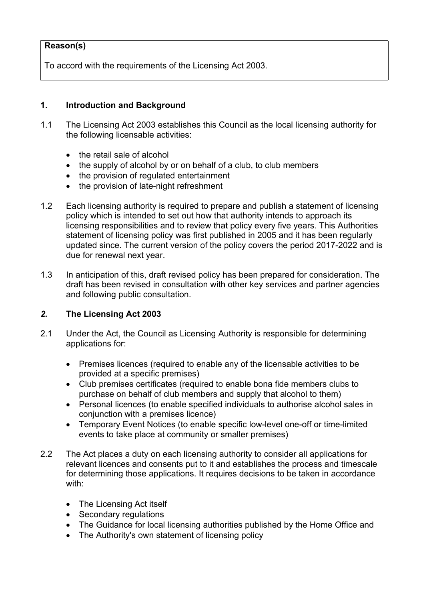### **Reason(s)**

To accord with the requirements of the Licensing Act 2003.

#### **1. Introduction and Background**

- 1.1 The Licensing Act 2003 establishes this Council as the local licensing authority for the following licensable activities:
	- the retail sale of alcohol
	- the supply of alcohol by or on behalf of a club, to club members
	- the provision of regulated entertainment
	- the provision of late-night refreshment
- 1.2 Each licensing authority is required to prepare and publish a statement of licensing policy which is intended to set out how that authority intends to approach its licensing responsibilities and to review that policy every five years. This Authorities statement of licensing policy was first published in 2005 and it has been regularly updated since. The current version of the policy covers the period 2017-2022 and is due for renewal next year.
- 1.3 In anticipation of this, draft revised policy has been prepared for consideration. The draft has been revised in consultation with other key services and partner agencies and following public consultation.

### *2.* **The Licensing Act 2003**

- 2.1 Under the Act, the Council as Licensing Authority is responsible for determining applications for:
	- Premises licences (required to enable any of the licensable activities to be provided at a specific premises)
	- Club premises certificates (required to enable bona fide members clubs to purchase on behalf of club members and supply that alcohol to them)
	- Personal licences (to enable specified individuals to authorise alcohol sales in conjunction with a premises licence)
	- Temporary Event Notices (to enable specific low-level one-off or time-limited events to take place at community or smaller premises)
- 2.2 The Act places a duty on each licensing authority to consider all applications for relevant licences and consents put to it and establishes the process and timescale for determining those applications. It requires decisions to be taken in accordance with:
	- The Licensing Act itself
	- Secondary regulations
	- The Guidance for local licensing authorities published by the Home Office and
	- The Authority's own statement of licensing policy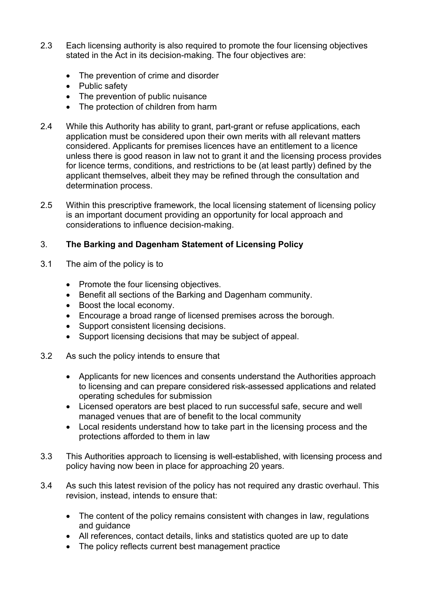- 2.3 Each licensing authority is also required to promote the four licensing objectives stated in the Act in its decision-making. The four objectives are:
	- The prevention of crime and disorder
	- Public safety
	- The prevention of public nuisance
	- The protection of children from harm
- 2.4 While this Authority has ability to grant, part-grant or refuse applications, each application must be considered upon their own merits with all relevant matters considered. Applicants for premises licences have an entitlement to a licence unless there is good reason in law not to grant it and the licensing process provides for licence terms, conditions, and restrictions to be (at least partly) defined by the applicant themselves, albeit they may be refined through the consultation and determination process.
- 2.5 Within this prescriptive framework, the local licensing statement of licensing policy is an important document providing an opportunity for local approach and considerations to influence decision-making.

### 3. **The Barking and Dagenham Statement of Licensing Policy**

- 3.1 The aim of the policy is to
	- Promote the four licensing objectives.
	- Benefit all sections of the Barking and Dagenham community.
	- Boost the local economy.
	- Encourage a broad range of licensed premises across the borough.
	- Support consistent licensing decisions.
	- Support licensing decisions that may be subject of appeal.
- 3.2 As such the policy intends to ensure that
	- Applicants for new licences and consents understand the Authorities approach to licensing and can prepare considered risk-assessed applications and related operating schedules for submission
	- Licensed operators are best placed to run successful safe, secure and well managed venues that are of benefit to the local community
	- Local residents understand how to take part in the licensing process and the protections afforded to them in law
- 3.3 This Authorities approach to licensing is well-established, with licensing process and policy having now been in place for approaching 20 years.
- 3.4 As such this latest revision of the policy has not required any drastic overhaul. This revision, instead, intends to ensure that:
	- The content of the policy remains consistent with changes in law, regulations and guidance
	- All references, contact details, links and statistics quoted are up to date
	- The policy reflects current best management practice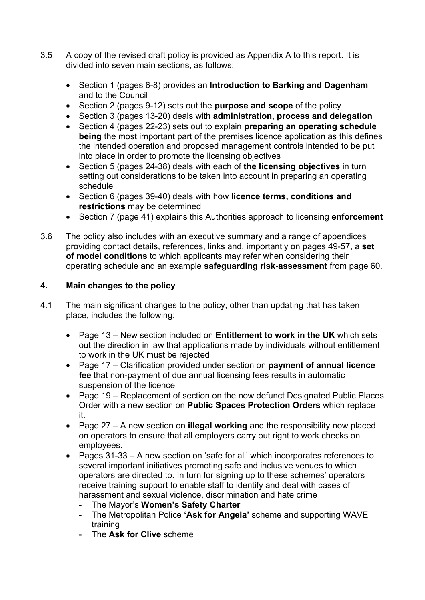- 3.5 A copy of the revised draft policy is provided as Appendix A to this report. It is divided into seven main sections, as follows:
	- Section 1 (pages 6-8) provides an **Introduction to Barking and Dagenham** and to the Council
	- Section 2 (pages 9-12) sets out the **purpose and scope** of the policy
	- Section 3 (pages 13-20) deals with **administration, process and delegation**
	- Section 4 (pages 22-23) sets out to explain **preparing an operating schedule being** the most important part of the premises licence application as this defines the intended operation and proposed management controls intended to be put into place in order to promote the licensing objectives
	- Section 5 (pages 24-38) deals with each of **the licensing objectives** in turn setting out considerations to be taken into account in preparing an operating schedule
	- Section 6 (pages 39-40) deals with how **licence terms, conditions and restrictions** may be determined
	- Section 7 (page 41) explains this Authorities approach to licensing **enforcement**
- 3.6 The policy also includes with an executive summary and a range of appendices providing contact details, references, links and, importantly on pages 49-57, a **set of model conditions** to which applicants may refer when considering their operating schedule and an example **safeguarding risk-assessment** from page 60.

### **4. Main changes to the policy**

- 4.1 The main significant changes to the policy, other than updating that has taken place, includes the following:
	- Page 13 New section included on **Entitlement to work in the UK** which sets out the direction in law that applications made by individuals without entitlement to work in the UK must be rejected
	- Page 17 Clarification provided under section on **payment of annual licence fee** that non-payment of due annual licensing fees results in automatic suspension of the licence
	- Page 19 Replacement of section on the now defunct Designated Public Places Order with a new section on **Public Spaces Protection Orders** which replace it.
	- Page 27 A new section on **illegal working** and the responsibility now placed on operators to ensure that all employers carry out right to work checks on employees.
	- Pages 31-33 A new section on 'safe for all' which incorporates references to several important initiatives promoting safe and inclusive venues to which operators are directed to. In turn for signing up to these schemes' operators receive training support to enable staff to identify and deal with cases of harassment and sexual violence, discrimination and hate crime
		- The Mayor's **Women's Safety Charter**
		- The Metropolitan Police **'Ask for Angela'** scheme and supporting WAVE training
		- The **Ask for Clive** scheme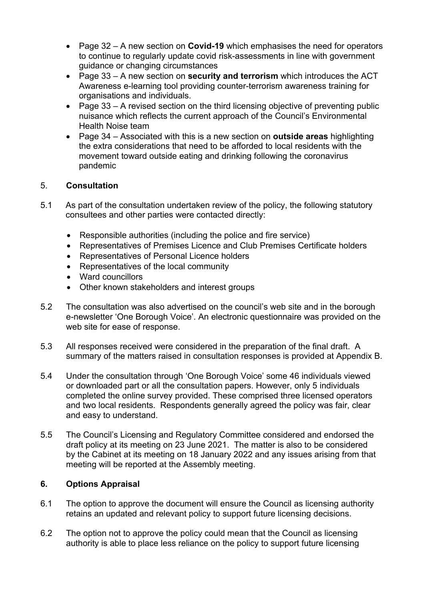- Page 32 A new section on **Covid-19** which emphasises the need for operators to continue to regularly update covid risk-assessments in line with government guidance or changing circumstances
- Page 33 A new section on **security and terrorism** which introduces the ACT Awareness e-learning tool providing counter-terrorism awareness training for organisations and individuals.
- Page 33 A revised section on the third licensing objective of preventing public nuisance which reflects the current approach of the Council's Environmental Health Noise team
- Page 34 Associated with this is a new section on **outside areas** highlighting the extra considerations that need to be afforded to local residents with the movement toward outside eating and drinking following the coronavirus pandemic

### 5. **Consultation**

- 5.1 As part of the consultation undertaken review of the policy, the following statutory consultees and other parties were contacted directly:
	- Responsible authorities (including the police and fire service)
	- Representatives of Premises Licence and Club Premises Certificate holders
	- Representatives of Personal Licence holders
	- Representatives of the local community
	- Ward councillors
	- Other known stakeholders and interest groups
- 5.2 The consultation was also advertised on the council's web site and in the borough e-newsletter 'One Borough Voice'. An electronic questionnaire was provided on the web site for ease of response.
- 5.3 All responses received were considered in the preparation of the final draft. A summary of the matters raised in consultation responses is provided at Appendix B.
- 5.4 Under the consultation through 'One Borough Voice' some 46 individuals viewed or downloaded part or all the consultation papers. However, only 5 individuals completed the online survey provided. These comprised three licensed operators and two local residents. Respondents generally agreed the policy was fair, clear and easy to understand.
- 5.5 The Council's Licensing and Regulatory Committee considered and endorsed the draft policy at its meeting on 23 June 2021. The matter is also to be considered by the Cabinet at its meeting on 18 January 2022 and any issues arising from that meeting will be reported at the Assembly meeting.

# **6. Options Appraisal**

- 6.1 The option to approve the document will ensure the Council as licensing authority retains an updated and relevant policy to support future licensing decisions.
- 6.2 The option not to approve the policy could mean that the Council as licensing authority is able to place less reliance on the policy to support future licensing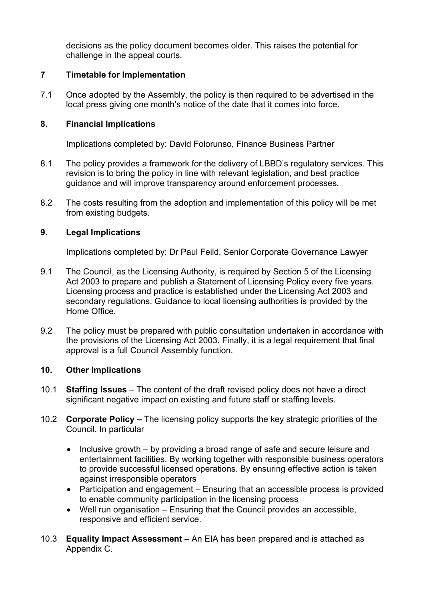decisions as the policy document becomes older. This raises the potential for challenge in the appeal courts.

### **7 Timetable for Implementation**

7.1 Once adopted by the Assembly, the policy is then required to be advertised in the local press giving one month's notice of the date that it comes into force.

### **8. Financial Implications**

Implications completed by: David Folorunso, Finance Business Partner

- 8.1 The policy provides a framework for the delivery of LBBD's regulatory services. This revision is to bring the policy in line with relevant legislation, and best practice guidance and will improve transparency around enforcement processes.
- 8.2 The costs resulting from the adoption and implementation of this policy will be met from existing budgets.

### **9. Legal Implications**

Implications completed by: Dr Paul Feild, Senior Corporate Governance Lawyer

- 9.1 The Council, as the Licensing Authority, is required by Section 5 of the Licensing Act 2003 to prepare and publish a Statement of Licensing Policy every five years. Licensing process and practice is established under the Licensing Act 2003 and secondary regulations. Guidance to local licensing authorities is provided by the Home Office.
- 9.2 The policy must be prepared with public consultation undertaken in accordance with the provisions of the Licensing Act 2003. Finally, it is a legal requirement that final approval is a full Council Assembly function.

### **10. Other Implications**

- 10.1 **Staffing Issues** The content of the draft revised policy does not have a direct significant negative impact on existing and future staff or staffing levels.
- 10.2 **Corporate Policy –** The licensing policy supports the key strategic priorities of the Council. In particular
	- Inclusive growth by providing a broad range of safe and secure leisure and entertainment facilities. By working together with responsible business operators to provide successful licensed operations. By ensuring effective action is taken against irresponsible operators
	- Participation and engagement Ensuring that an accessible process is provided to enable community participation in the licensing process
	- Well run organisation Ensuring that the Council provides an accessible, responsive and efficient service.
- 10.3 **Equality Impact Assessment –** An EIA has been prepared and is attached as Appendix C.